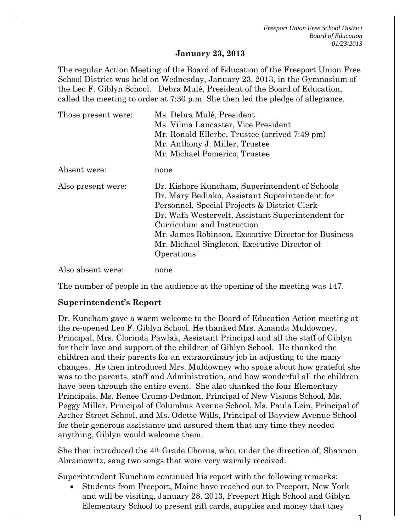1

#### **January 23, 2013**

The regular Action Meeting of the Board of Education of the Freeport Union Free School District was held on Wednesday, January 23, 2013, in the Gymnasium of the Leo F. Giblyn School. Debra Mulé, President of the Board of Education, called the meeting to order at 7:30 p.m. She then led the pledge of allegiance.

| Those present were: | Ms. Debra Mulé, President                           |  |  |
|---------------------|-----------------------------------------------------|--|--|
|                     | Ms. Vilma Lancaster, Vice President                 |  |  |
|                     | Mr. Ronald Ellerbe, Trustee (arrived 7:49 pm)       |  |  |
|                     | Mr. Anthony J. Miller, Trustee                      |  |  |
|                     | Mr. Michael Pomerico, Trustee                       |  |  |
| Absent were:        | none                                                |  |  |
| Also present were:  | Dr. Kishore Kuncham, Superintendent of Schools      |  |  |
|                     | Dr. Mary Bediako, Assistant Superintendent for      |  |  |
|                     | Personnel, Special Projects & District Clerk        |  |  |
|                     | Dr. Wafa Westervelt, Assistant Superintendent for   |  |  |
|                     | Curriculum and Instruction                          |  |  |
|                     | Mr. James Robinson, Executive Director for Business |  |  |
|                     | Mr. Michael Singleton, Executive Director of        |  |  |
|                     | Operations                                          |  |  |
| Also absent were:   | none                                                |  |  |

The number of people in the audience at the opening of the meeting was 147.

#### **Superintendent's Report**

Dr. Kuncham gave a warm welcome to the Board of Education Action meeting at the re-opened Leo F. Giblyn School. He thanked Mrs. Amanda Muldowney, Principal, Mrs. Clorinda Pawlak, Assistant Principal and all the staff of Giblyn for their love and support of the children of Giblyn School. He thanked the children and their parents for an extraordinary job in adjusting to the many changes. He then introduced Mrs. Muldowney who spoke about how grateful she was to the parents, staff and Administration, and how wonderful all the children have been through the entire event. She also thanked the four Elementary Principals, Ms. Renee Crump-Dedmon, Principal of New Visions School, Ms. Peggy Miller, Principal of Columbus Avenue School, Ms. Paula Lein, Principal of Archer Street School, and Ms. Odette Wills, Principal of Bayview Avenue School for their generous assistance and assured them that any time they needed anything, Giblyn would welcome them.

She then introduced the 4th Grade Chorus, who, under the direction of, Shannon Abramowitz, sang two songs that were very warmly received.

Superintendent Kuncham continued his report with the following remarks:

 Students from Freeport, Maine have reached out to Freeport, New York and will be visiting, January 28, 2013, Freeport High School and Giblyn Elementary School to present gift cards, supplies and money that they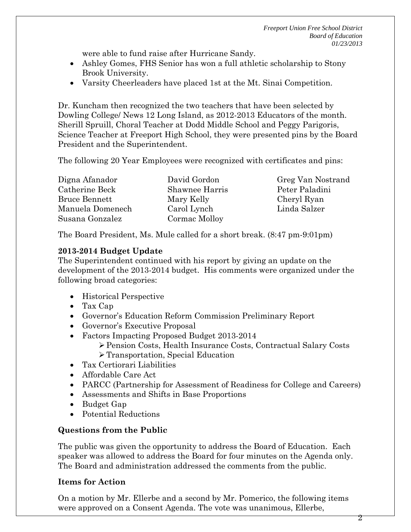were able to fund raise after Hurricane Sandy.

- Ashley Gomes, FHS Senior has won a full athletic scholarship to Stony Brook University.
- Varsity Cheerleaders have placed 1st at the Mt. Sinai Competition.

Dr. Kuncham then recognized the two teachers that have been selected by Dowling College/ News 12 Long Island, as 2012-2013 Educators of the month. Sherill Spruill, Choral Teacher at Dodd Middle School and Peggy Parigoris, Science Teacher at Freeport High School, they were presented pins by the Board President and the Superintendent.

The following 20 Year Employees were recognized with certificates and pins:

| Digna Afanador       | David Gordon   |
|----------------------|----------------|
| Catherine Beck       | Shawnee Harris |
| <b>Bruce Bennett</b> | Mary Kelly     |
| Manuela Domenech     | Carol Lynch    |
| Susana Gonzalez      | Cormac Molloy  |

Greg Van Nostrand Peter Paladini Cheryl Ryan Linda Salzer

The Board President, Ms. Mule called for a short break. (8:47 pm-9:01pm)

### **2013-2014 Budget Update**

The Superintendent continued with his report by giving an update on the development of the 2013-2014 budget. His comments were organized under the following broad categories:

- Historical Perspective
- Tax Cap
- Governor's Education Reform Commission Preliminary Report
- Governor's Executive Proposal
- Factors Impacting Proposed Budget 2013-2014
	- Pension Costs, Health Insurance Costs, Contractual Salary Costs
	- Transportation, Special Education
- Tax Certiorari Liabilities
- Affordable Care Act
- PARCC (Partnership for Assessment of Readiness for College and Careers)
- Assessments and Shifts in Base Proportions
- Budget Gap
- Potential Reductions

## **Questions from the Public**

The public was given the opportunity to address the Board of Education. Each speaker was allowed to address the Board for four minutes on the Agenda only. The Board and administration addressed the comments from the public.

## **Items for Action**

On a motion by Mr. Ellerbe and a second by Mr. Pomerico, the following items were approved on a Consent Agenda. The vote was unanimous, Ellerbe,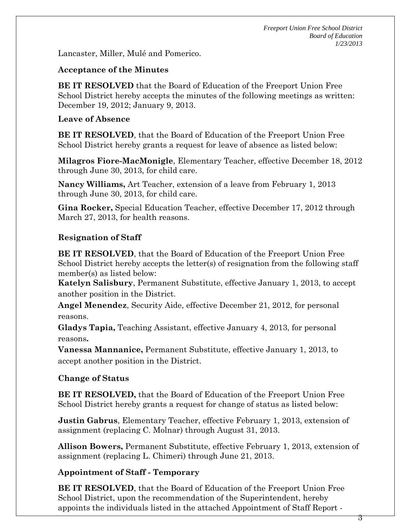Lancaster, Miller, Mulé and Pomerico.

### **Acceptance of the Minutes**

**BE IT RESOLVED** that the Board of Education of the Freeport Union Free School District hereby accepts the minutes of the following meetings as written: December 19, 2012; January 9, 2013.

### **Leave of Absence**

**BE IT RESOLVED**, that the Board of Education of the Freeport Union Free School District hereby grants a request for leave of absence as listed below:

**Milagros Fiore-MacMonigle**, Elementary Teacher, effective December 18, 2012 through June 30, 2013, for child care.

**Nancy Williams,** Art Teacher, extension of a leave from February 1, 2013 through June 30, 2013, for child care.

**Gina Rocker,** Special Education Teacher, effective December 17, 2012 through March 27, 2013, for health reasons.

## **Resignation of Staff**

**BE IT RESOLVED**, that the Board of Education of the Freeport Union Free School District hereby accepts the letter(s) of resignation from the following staff member(s) as listed below:

**Katelyn Salisbury**, Permanent Substitute, effective January 1, 2013, to accept another position in the District.

**Angel Menendez**, Security Aide, effective December 21, 2012, for personal reasons.

**Gladys Tapia,** Teaching Assistant, effective January 4, 2013, for personal reasons**.**

**Vanessa Mannanice,** Permanent Substitute, effective January 1, 2013, to accept another position in the District.

## **Change of Status**

**BE IT RESOLVED,** that the Board of Education of the Freeport Union Free School District hereby grants a request for change of status as listed below:

**Justin Gabrus**, Elementary Teacher, effective February 1, 2013, extension of assignment (replacing C. Molnar) through August 31, 2013.

**Allison Bowers,** Permanent Substitute, effective February 1, 2013, extension of assignment (replacing L. Chimeri) through June 21, 2013.

## **Appointment of Staff - Temporary**

**BE IT RESOLVED**, that the Board of Education of the Freeport Union Free School District, upon the recommendation of the Superintendent, hereby appoints the individuals listed in the attached Appointment of Staff Report -

3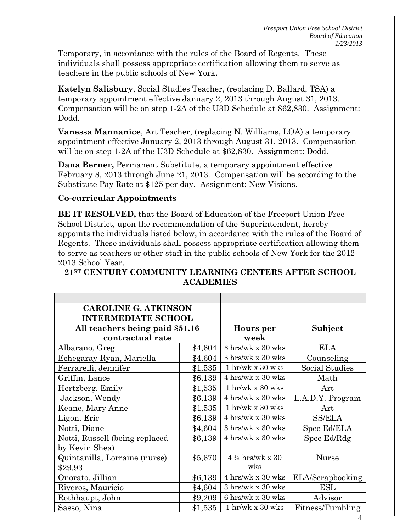Temporary, in accordance with the rules of the Board of Regents. These individuals shall possess appropriate certification allowing them to serve as teachers in the public schools of New York.

**Katelyn Salisbury**, Social Studies Teacher, (replacing D. Ballard, TSA) a temporary appointment effective January 2, 2013 through August 31, 2013. Compensation will be on step 1-2A of the U3D Schedule at \$62,830. Assignment: Dodd.

**Vanessa Mannanice**, Art Teacher, (replacing N. Williams, LOA) a temporary appointment effective January 2, 2013 through August 31, 2013. Compensation will be on step 1-2A of the U3D Schedule at \$62,830. Assignment: Dodd.

**Dana Berner,** Permanent Substitute, a temporary appointment effective February 8, 2013 through June 21, 2013. Compensation will be according to the Substitute Pay Rate at \$125 per day. Assignment: New Visions.

#### **Co-curricular Appointments**

**BE IT RESOLVED,** that the Board of Education of the Freeport Union Free School District, upon the recommendation of the Superintendent, hereby appoints the individuals listed below, in accordance with the rules of the Board of Regents. These individuals shall possess appropriate certification allowing them to serve as teachers or other staff in the public schools of New York for the 2012- 2013 School Year.

#### **21ST CENTURY COMMUNITY LEARNING CENTERS AFTER SCHOOL ACADEMIES**

| <b>CAROLINE G. ATKINSON</b>     |           |                                          |                  |
|---------------------------------|-----------|------------------------------------------|------------------|
| <b>INTERMEDIATE SCHOOL</b>      |           |                                          |                  |
| All teachers being paid \$51.16 |           | Hours per                                | Subject          |
| contractual rate                |           | week                                     |                  |
| Albarano, Greg                  | \$4,604   | $3 \text{ hrs/wk} \times 30 \text{ wks}$ | ELA              |
| Echegaray-Ryan, Mariella        | \$4,604   | $3 \text{ hrs/wk} \times 30 \text{ wks}$ | Counseling       |
| Ferrarelli, Jennifer            | \$1,535   | $1$ hr/wk x 30 wks                       | Social Studies   |
| Griffin, Lance                  | \$6,139   | 4 hrs/wk x 30 wks                        | Math             |
| Hertzberg, Emily                | $\$1,535$ | $1$ hr/wk x 30 wks                       | Art              |
| Jackson, Wendy                  | \$6,139   | 4 hrs/wk x 30 wks                        | L.A.D.Y. Program |
| Keane, Mary Anne                | \$1,535   | $1$ hr/wk x 30 wks                       | Art              |
| Ligon, Eric                     | \$6,139   | 4 hrs/wk x 30 wks                        | <b>SS/ELA</b>    |
| Notti, Diane                    | \$4,604   | $3 \text{ hrs/wk} \times 30 \text{ wks}$ | Spec Ed/ELA      |
| Notti, Russell (being replaced) | \$6,139   | 4 hrs/wk x 30 wks                        | Spec Ed/Rdg      |
| by Kevin Shea)                  |           |                                          |                  |
| Quintanilla, Lorraine (nurse)   | \$5,670   | $4\frac{1}{2}$ hrs/wk x 30               | Nurse            |
| \$29.93                         |           | wks                                      |                  |
| Onorato, Jillian                | \$6,139   | 4 hrs/wk x 30 wks                        | ELA/Scrapbooking |
| Riveros, Mauricio               | \$4,604   | $3 \text{ hrs/wk} \times 30 \text{ wks}$ | ESL              |
| Rothhaupt, John                 | \$9,209   | 6 hrs/wk x 30 wks                        | Advisor          |
| Sasso, Nina                     | \$1,535   | $1$ hr/wk x 30 wks                       | Fitness/Tumbling |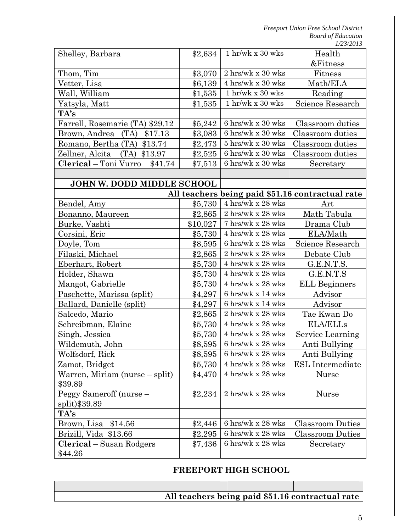|                                   |          | 1 hr/wk x 30 wks                          | Health                                           |
|-----------------------------------|----------|-------------------------------------------|--------------------------------------------------|
| Shelley, Barbara                  | \$2,634  |                                           | &Fitness                                         |
| Thom, Tim                         | \$3,070  | 2 hrs/wk x 30 wks                         | Fitness                                          |
| Vetter, Lisa                      | \$6,139  | 4 hrs/wk x 30 wks                         | Math/ELA                                         |
| Wall, William                     | \$1,535  | $1$ hr/wk x $30$ wks                      | Reading                                          |
| Yatsyla, Matt                     | \$1,535  | $1$ hr/wk x 30 wks                        | Science Research                                 |
| TA's                              |          |                                           |                                                  |
| Farrell, Rosemarie (TA) \$29.12   | \$5,242  | 6 hrs/wk x 30 wks                         | Classroom duties                                 |
| (TA)<br>\$17.13<br>Brown, Andrea  | \$3,083  | 6 hrs/wk x 30 wks                         | Classroom duties                                 |
| Romano, Bertha (TA) \$13.74       | \$2,473  | $5 \text{ hrs/wk}$ x 30 wks               | Classroom duties                                 |
| Zellner, Alcita<br>$(TA)$ \$13.97 | \$2,525  | 6 hrs/wk x 30 wks                         | Classroom duties                                 |
| Clerical - Toni Vurro<br>\$41.74  | \$7,513  | 6 hrs/wk x 30 wks                         | Secretary                                        |
|                                   |          |                                           |                                                  |
| JOHN W. DODD MIDDLE SCHOOL        |          |                                           |                                                  |
|                                   |          |                                           | All teachers being paid \$51.16 contractual rate |
| Bendel, Amy                       | \$5,730  | 4 hrs/wk x 28 wks                         | Art                                              |
| Bonanno, Maureen                  | \$2,865  | 2 hrs/wk x 28 wks                         | Math Tabula                                      |
| Burke, Vashti                     | \$10,027 | $7\ \mathrm{hrs/wk}$ x $28\ \mathrm{wks}$ | Drama Club                                       |
| Corsini, Eric                     | \$5,730  | 4 hrs/wk x 28 wks                         | ELA/Math                                         |
| Doyle, Tom                        | \$8,595  | 6 hrs/wk x 28 wks                         | Science Research                                 |
| Filaski, Michael                  | \$2,865  | $2 \;{\rm hrs/wk}$ x $28 \;{\rm wks}$     | Debate Club                                      |
| Eberhart, Robert                  | \$5,730  | 4 hrs/wk x 28 wks                         | G.E.N.T.S.                                       |
| Holder, Shawn                     | \$5,730  | 4 hrs/wk x 28 wks                         | G.E.N.T.S                                        |
| Mangot, Gabrielle                 | \$5,730  | $4 \;{\rm hrs/wk}$ x $28 \;{\rm wks}$     | <b>ELL Beginners</b>                             |
| Paschette, Marissa (split)        | \$4,297  | $6$ hrs/wk x $14$ wks                     | Advisor                                          |
| Ballard, Danielle (split)         | \$4,297  | $6$ hrs/wk x $14$ wks                     | Advisor                                          |
| Salcedo, Mario                    | \$2,865  | $2 \;{\rm hrs/wk}$ x $28 \;{\rm wks}$     | Tae Kwan Do                                      |
| Schreibman, Elaine                | \$5,730  | 4 hrs/wk x 28 wks                         | <b>ELA/ELLs</b>                                  |
| Singh, Jessica                    | \$5,730  | $4$ hrs/wk x $28$ wks                     | Service Learning                                 |
| Wildemuth, John                   | \$8,595  | 6 hrs/wk x 28 wks                         | Anti Bullying                                    |
| Wolfsdorf, Rick                   | \$8,595  | 6 hrs/wk x 28 wks                         | Anti Bullying                                    |
| Zamot, Bridget                    | \$5,730  | 4 hrs/wk x 28 wks                         | <b>ESL</b> Intermediate                          |
| Warren, Miriam (nurse – split)    | \$4,470  | 4 hrs/wk x 28 wks                         | <b>Nurse</b>                                     |
| \$39.89                           |          |                                           |                                                  |
| Peggy Sameroff (nurse -           | \$2,234  | 2 hrs/wk x 28 wks                         | <b>Nurse</b>                                     |
| split)\$39.89                     |          |                                           |                                                  |
| TA's                              |          |                                           |                                                  |
| Brown, Lisa<br>\$14.56            | \$2,446  | 6 hrs/wk x 28 wks                         | <b>Classroom Duties</b>                          |
| Brizill, Vida \$13.66             | \$2,295  | 6 hrs/wk x 28 wks                         | <b>Classroom Duties</b>                          |
| <b>Clerical</b> – Susan Rodgers   | \$7,436  | 6 hrs/wk x 28 wks                         | Secretary                                        |
| \$44.26                           |          |                                           |                                                  |

# **FREEPORT HIGH SCHOOL**

**All teachers being paid \$51.16 contractual rate**

5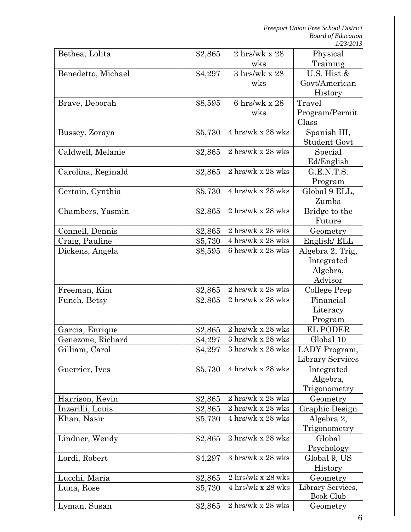| Bethea, Lolita     | \$2,865 | $2 \text{ hrs/wk} \times 28$             | Physical                |
|--------------------|---------|------------------------------------------|-------------------------|
|                    |         | wks                                      | Training                |
| Benedetto, Michael | \$4,297 | $3 \text{ hrs/wk} \times 28$             | U.S. Hist &             |
|                    |         | wks                                      | Govt/American           |
|                    |         |                                          | History                 |
| Brave, Deborah     | \$8,595 | 6 hrs/wk x $28$                          | Travel                  |
|                    |         | wks                                      | Program/Permit          |
|                    |         |                                          | Class                   |
| Bussey, Zoraya     | \$5,730 | 4 hrs/wk x 28 wks                        | Spanish III,            |
|                    |         |                                          | <b>Student Govt</b>     |
| Caldwell, Melanie  | \$2,865 | 2 hrs/wk x 28 wks                        | Special                 |
|                    |         |                                          | Ed/English              |
| Carolina, Reginald | \$2,865 | 2 hrs/wk x 28 wks                        | G.E.N.T.S.              |
|                    |         | 4 hrs/wk x 28 wks                        | Program                 |
| Certain, Cynthia   | \$5,730 |                                          | Global 9 ELL,<br>Zumba  |
|                    |         | 2 hrs/wk x 28 wks                        |                         |
| Chambers, Yasmin   | \$2,865 |                                          | Bridge to the<br>Future |
| Connell, Dennis    | \$2,865 | 2 hrs/wk x 28 wks                        | Geometry                |
| Craig, Pauline     | \$5,730 | 4 hrs/wk x 28 wks                        | English/ELL             |
| Dickens, Angela    | \$8,595 | 6 hrs/wk x 28 wks                        | Algebra 2, Trig,        |
|                    |         |                                          | Integrated              |
|                    |         |                                          | Algebra,                |
|                    |         |                                          | Advisor                 |
| Freeman, Kim       | \$2,865 | 2 hrs/wk x 28 wks                        | College Prep            |
| Funch, Betsy       | \$2,865 | 2 hrs/wk x 28 wks                        | Financial               |
|                    |         |                                          | Literacy                |
|                    |         |                                          | Program                 |
| Garcia, Enrique    | \$2,865 | 2 hrs/wk x 28 wks                        | <b>EL PODER</b>         |
| Genezone, Richard  | \$4,297 | $3 \text{ hrs/wk}$ x $28 \text{ wks}$    | Global 10               |
| Gilliam, Carol     | \$4,297 | $3~\mathrm{hrs/wk}$ x $28~\mathrm{wks}$  | LADY Program,           |
|                    |         |                                          | Library Services        |
| Guerrier, Ives     | \$5,730 | 4 hrs/wk x 28 wks                        | Integrated              |
|                    |         |                                          | Algebra,                |
|                    |         |                                          | Trigonometry            |
| Harrison, Kevin    | \$2,865 | $2 \text{ hrs/wk} \times 28 \text{ wks}$ | Geometry                |
| Inzerilli, Louis   | \$2,865 | 2 hrs/wk x 28 wks                        | Graphic Design          |
| Khan, Nasir        | \$5,730 | 4 hrs/wk x 28 wks                        | Algebra 2,              |
|                    |         |                                          | Trigonometry            |
| Lindner, Wendy     | \$2,865 | 2 hrs/wk x 28 wks                        | Global                  |
|                    |         |                                          | Psychology              |
| Lordi, Robert      | \$4,297 | 3 hrs/wk x 28 wks                        | Global 9, US            |
|                    |         |                                          | History                 |
| Lucchi, Maria      | \$2,865 | 2 hrs/wk x 28 wks                        | Geometry                |
| Luna, Rose         | \$5,730 | 4 hrs/wk x 28 wks                        | Library Services,       |
| Lyman, Susan       |         | 2 hrs/wk x 28 wks                        | Book Club               |
|                    | \$2,865 |                                          | Geometry                |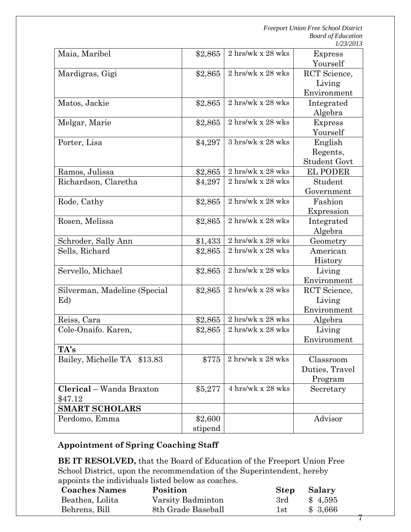7

| Maia, Maribel                | \$2,865 | 2 hrs/wk x 28 wks                        | <b>Express</b>      |
|------------------------------|---------|------------------------------------------|---------------------|
|                              |         |                                          | Yourself            |
| Mardigras, Gigi              | \$2,865 | 2 hrs/wk x 28 wks                        | RCT Science,        |
|                              |         |                                          | Living              |
|                              |         |                                          | Environment         |
| Matos, Jackie                | \$2,865 | 2 hrs/wk x 28 wks                        | Integrated          |
|                              |         |                                          | Algebra             |
| Melgar, Marie                | \$2,865 | $2 \text{ hrs/wk} \times 28 \text{ wks}$ | <b>Express</b>      |
|                              |         |                                          | Yourself            |
| Porter, Lisa                 | \$4,297 | $3 \text{ hrs/wk} \times 28 \text{ wks}$ | English             |
|                              |         |                                          | Regents,            |
|                              |         |                                          | <b>Student Govt</b> |
| Ramos, Julissa               | \$2,865 | 2 hrs/wk x 28 wks                        | <b>EL PODER</b>     |
| Richardson, Claretha         | \$4,297 | 2 hrs/wk x 28 wks                        | Student             |
|                              |         |                                          | Government          |
| Rode, Cathy                  | \$2,865 | 2 hrs/wk x 28 wks                        | Fashion             |
|                              |         |                                          | Expression          |
| Rosen, Melissa               | \$2,865 | 2 hrs/wk x 28 wks                        | Integrated          |
|                              |         |                                          | Algebra             |
| Schroder, Sally Ann          | \$1,433 | $2 \text{ hrs/wk} \times 28 \text{ wks}$ | Geometry            |
| Sells, Richard               | \$2,865 | 2 hrs/wk x 28 wks                        | American            |
|                              |         |                                          | History             |
| Servello, Michael            | \$2,865 | 2 hrs/wk x 28 wks                        | Living              |
|                              |         |                                          | Environment         |
| Silverman, Madeline (Special | \$2,865 | 2 hrs/wk x 28 wks                        | RCT Science,        |
| Ed)                          |         |                                          | Living              |
|                              |         |                                          | Environment         |
| Reiss, Cara                  | \$2,865 | 2 hrs/wk x 28 wks                        | Algebra             |
| Cole-Onaifo. Karen,          | \$2,865 | $2 \text{ hrs/wk} \times 28 \text{ wks}$ | Living              |
|                              |         |                                          | Environment         |
| TA's                         |         |                                          |                     |
| Bailey, Michelle TA \$13.83  | \$775   | 2 hrs/wk x 28 wks                        | Classroom           |
|                              |         |                                          | Duties, Travel      |
|                              |         |                                          | Program             |
| Clerical - Wanda Braxton     | \$5,277 | 4 hrs/wk x 28 wks                        | Secretary           |
| \$47.12                      |         |                                          |                     |
| <b>SMART SCHOLARS</b>        |         |                                          |                     |
| Perdomo, Emma                | \$2,600 |                                          | Advisor             |
|                              | stipend |                                          |                     |
|                              |         |                                          |                     |

# **Appointment of Spring Coaching Staff**

**BE IT RESOLVED,** that the Board of Education of the Freeport Union Free School District, upon the recommendation of the Superintendent, hereby appoints the individuals listed below as coaches.

| <b>Coaches Names</b> | Position           | Step Salary |         |
|----------------------|--------------------|-------------|---------|
| Beathea, Lolita      | Varsity Badminton  | 3rd         | \$4,595 |
| Behrens, Bill        | 8th Grade Baseball | 1st         | \$3,666 |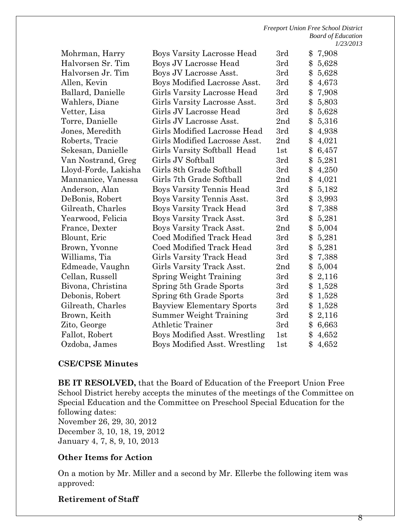| Mohrman, Harry       | Boys Varsity Lacrosse Head           | 3rd             | \$            | 7,908 |
|----------------------|--------------------------------------|-----------------|---------------|-------|
| Halvorsen Sr. Tim    | Boys JV Lacrosse Head                | 3rd             | \$            | 5,628 |
| Halvorsen Jr. Tim    | Boys JV Lacrosse Asst.               | 3rd             | \$            | 5,628 |
| Allen, Kevin         | Boys Modified Lacrosse Asst.         | 3rd             | \$            | 4,673 |
| Ballard, Danielle    | Girls Varsity Lacrosse Head          | 3rd             | \$            | 7,908 |
| Wahlers, Diane       | Girls Varsity Lacrosse Asst.         | 3rd             | \$            | 5,803 |
| Vetter, Lisa         | Girls JV Lacrosse Head               | 3rd             | \$            | 5,628 |
| Torre, Danielle      | Girls JV Lacrosse Asst.              | 2nd             | \$            | 5,316 |
| Jones, Meredith      | Girls Modified Lacrosse Head         | 3rd             | \$            | 4,938 |
| Roberts, Tracie      | Girls Modified Lacrosse Asst.        | 2nd             | \$            | 4,021 |
| Sekesan, Danielle    | Girls Varsity Softball Head          | 1st             | \$            | 6,457 |
| Van Nostrand, Greg   | Girls JV Softball                    | 3rd             | \$            | 5,281 |
| Lloyd-Forde, Lakisha | Girls 8th Grade Softball             | 3rd             | \$            | 4,250 |
| Mannanice, Vanessa   | Girls 7th Grade Softball             | 2 <sub>nd</sub> | \$            | 4,021 |
| Anderson, Alan       | Boys Varsity Tennis Head             | 3rd             | \$            | 5,182 |
| DeBonis, Robert      | Boys Varsity Tennis Asst.            | 3rd             | \$            | 3,993 |
| Gilreath, Charles    | <b>Boys Varsity Track Head</b>       | 3rd             | \$            | 7,388 |
| Yearwood, Felicia    | Boys Varsity Track Asst.             | 3rd             | \$            | 5,281 |
| France, Dexter       | Boys Varsity Track Asst.             | 2 <sub>nd</sub> | \$            | 5,004 |
| Blount, Eric         | Coed Modified Track Head             | 3rd             | \$            | 5,281 |
| Brown, Yvonne        | Coed Modified Track Head             | 3rd             | \$            | 5,281 |
| Williams, Tia        | Girls Varsity Track Head             | 3rd             | \$            | 7,388 |
| Edmeade, Vaughn      | Girls Varsity Track Asst.            | 2nd             | \$            | 5,004 |
| Cellan, Russell      | <b>Spring Weight Training</b>        | 3rd             | \$            | 2,116 |
| Bivona, Christina    | Spring 5th Grade Sports              | 3rd             | \$            | 1,528 |
| Debonis, Robert      | Spring 6th Grade Sports              | 3rd             | \$            | 1,528 |
| Gilreath, Charles    | <b>Bayview Elementary Sports</b>     | 3rd             | \$            | 1,528 |
| Brown, Keith         | Summer Weight Training               | 3rd             | \$            | 2,116 |
| Zito, George         | Athletic Trainer                     | 3rd             | \$            | 6,663 |
| Fallot, Robert       | Boys Modified Asst. Wrestling        | 1st             | \$            | 4,652 |
| Ozdoba, James        | <b>Boys Modified Asst. Wrestling</b> | 1st             | $\mathbf{\$}$ | 4,652 |

### **CSE/CPSE Minutes**

**BE IT RESOLVED,** that the Board of Education of the Freeport Union Free School District hereby accepts the minutes of the meetings of the Committee on Special Education and the Committee on Preschool Special Education for the following dates: November 26, 29, 30, 2012

December 3, 10, 18, 19, 2012 January 4, 7, 8, 9, 10, 2013

#### **Other Items for Action**

On a motion by Mr. Miller and a second by Mr. Ellerbe the following item was approved:

#### **Retirement of Staff**

8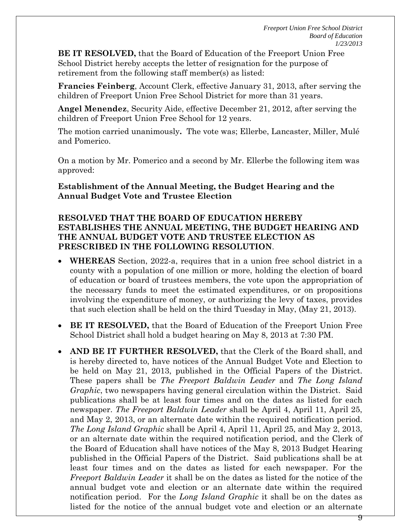**BE IT RESOLVED,** that the Board of Education of the Freeport Union Free School District hereby accepts the letter of resignation for the purpose of retirement from the following staff member(s) as listed:

**Francies Feinberg**, Account Clerk, effective January 31, 2013, after serving the children of Freeport Union Free School District for more than 31 years.

**Angel Menendez**, Security Aide, effective December 21, 2012, after serving the children of Freeport Union Free School for 12 years.

The motion carried unanimously**.** The vote was; Ellerbe, Lancaster, Miller, Mulé and Pomerico.

On a motion by Mr. Pomerico and a second by Mr. Ellerbe the following item was approved:

### **Establishment of the Annual Meeting, the Budget Hearing and the Annual Budget Vote and Trustee Election**

### **RESOLVED THAT THE BOARD OF EDUCATION HEREBY ESTABLISHES THE ANNUAL MEETING, THE BUDGET HEARING AND THE ANNUAL BUDGET VOTE AND TRUSTEE ELECTION AS PRESCRIBED IN THE FOLLOWING RESOLUTION**.

- **WHEREAS** Section, 2022-a, requires that in a union free school district in a county with a population of one million or more, holding the election of board of education or board of trustees members, the vote upon the appropriation of the necessary funds to meet the estimated expenditures, or on propositions involving the expenditure of money, or authorizing the levy of taxes, provides that such election shall be held on the third Tuesday in May, (May 21, 2013).
- **BE IT RESOLVED,** that the Board of Education of the Freeport Union Free School District shall hold a budget hearing on May 8, 2013 at 7:30 PM.
- **AND BE IT FURTHER RESOLVED,** that the Clerk of the Board shall, and is hereby directed to, have notices of the Annual Budget Vote and Election to be held on May 21, 2013, published in the Official Papers of the District. These papers shall be *The Freeport Baldwin Leader* and *The Long Island Graphic*, two newspapers having general circulation within the District. Said publications shall be at least four times and on the dates as listed for each newspaper. *The Freeport Baldwin Leader* shall be April 4, April 11, April 25, and May 2, 2013, or an alternate date within the required notification period. *The Long Island Graphic* shall be April 4, April 11, April 25, and May 2, 2013, or an alternate date within the required notification period, and the Clerk of the Board of Education shall have notices of the May 8, 2013 Budget Hearing published in the Official Papers of the District. Said publications shall be at least four times and on the dates as listed for each newspaper. For the *Freeport Baldwin Leader* it shall be on the dates as listed for the notice of the annual budget vote and election or an alternate date within the required notification period. For the *Long Island Graphic* it shall be on the dates as listed for the notice of the annual budget vote and election or an alternate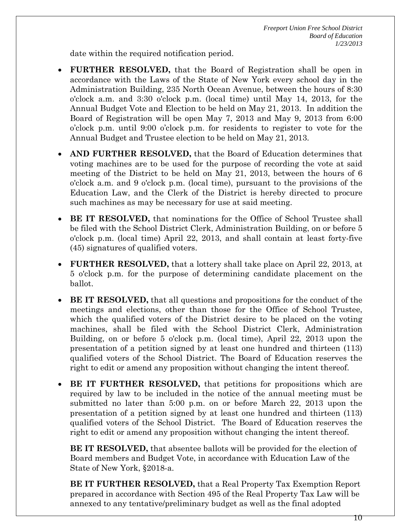date within the required notification period.

- **FURTHER RESOLVED,** that the Board of Registration shall be open in accordance with the Laws of the State of New York every school day in the Administration Building, 235 North Ocean Avenue, between the hours of 8:30 o'clock a.m. and 3:30 o'clock p.m. (local time) until May 14, 2013, for the Annual Budget Vote and Election to be held on May 21, 2013. In addition the Board of Registration will be open May 7, 2013 and May 9, 2013 from 6:00 o'clock p.m. until 9:00 o'clock p.m. for residents to register to vote for the Annual Budget and Trustee election to be held on May 21, 2013.
- **AND FURTHER RESOLVED,** that the Board of Education determines that voting machines are to be used for the purpose of recording the vote at said meeting of the District to be held on May 21, 2013, between the hours of 6 o'clock a.m. and 9 o'clock p.m. (local time), pursuant to the provisions of the Education Law, and the Clerk of the District is hereby directed to procure such machines as may be necessary for use at said meeting.
- **BE IT RESOLVED,** that nominations for the Office of School Trustee shall be filed with the School District Clerk, Administration Building, on or before 5 o'clock p.m. (local time) April 22, 2013, and shall contain at least forty-five (45) signatures of qualified voters.
- **FURTHER RESOLVED,** that a lottery shall take place on April 22, 2013, at 5 o'clock p.m. for the purpose of determining candidate placement on the ballot.
- **BE IT RESOLVED,** that all questions and propositions for the conduct of the meetings and elections, other than those for the Office of School Trustee, which the qualified voters of the District desire to be placed on the voting machines, shall be filed with the School District Clerk, Administration Building, on or before 5 o'clock p.m. (local time), April 22, 2013 upon the presentation of a petition signed by at least one hundred and thirteen (113) qualified voters of the School District. The Board of Education reserves the right to edit or amend any proposition without changing the intent thereof.
- **BE IT FURTHER RESOLVED,** that petitions for propositions which are required by law to be included in the notice of the annual meeting must be submitted no later than 5:00 p.m. on or before March 22, 2013 upon the presentation of a petition signed by at least one hundred and thirteen (113) qualified voters of the School District. The Board of Education reserves the right to edit or amend any proposition without changing the intent thereof.

**BE IT RESOLVED,** that absentee ballots will be provided for the election of Board members and Budget Vote, in accordance with Education Law of the State of New York, §2018-a.

**BE IT FURTHER RESOLVED,** that a Real Property Tax Exemption Report prepared in accordance with Section 495 of the Real Property Tax Law will be annexed to any tentative/preliminary budget as well as the final adopted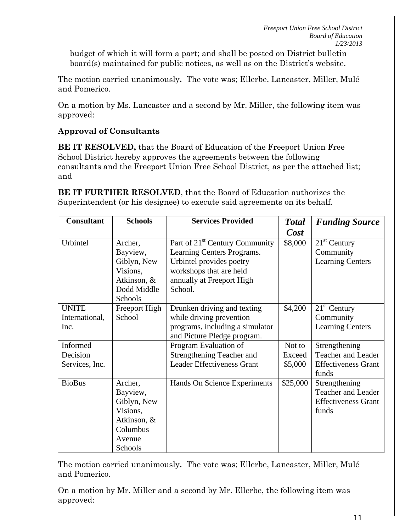budget of which it will form a part; and shall be posted on District bulletin board(s) maintained for public notices, as well as on the District's website.

The motion carried unanimously**.** The vote was; Ellerbe, Lancaster, Miller, Mulé and Pomerico.

On a motion by Ms. Lancaster and a second by Mr. Miller, the following item was approved:

## **Approval of Consultants**

**BE IT RESOLVED,** that the Board of Education of the Freeport Union Free School District hereby approves the agreements between the following consultants and the Freeport Union Free School District, as per the attached list; and

**BE IT FURTHER RESOLVED**, that the Board of Education authorizes the Superintendent (or his designee) to execute said agreements on its behalf.

| <b>Consultant</b> | <b>Schools</b> | <b>Services Provided</b>                   | <b>Total</b> | <b>Funding Source</b>      |
|-------------------|----------------|--------------------------------------------|--------------|----------------------------|
|                   |                |                                            | Cost         |                            |
| Urbintel          | Archer,        | Part of 21 <sup>st</sup> Century Community | \$8,000      | $21st$ Century             |
|                   | Bayview,       | Learning Centers Programs.                 |              | Community                  |
|                   | Giblyn, New    | Urbintel provides poetry                   |              | <b>Learning Centers</b>    |
|                   | Visions,       | workshops that are held                    |              |                            |
|                   | Atkinson, &    | annually at Freeport High                  |              |                            |
|                   | Dodd Middle    | School.                                    |              |                            |
|                   | Schools        |                                            |              |                            |
| <b>UNITE</b>      | Freeport High  | Drunken driving and texting                | \$4,200      | $21st$ Century             |
| International,    | School         | while driving prevention                   |              | Community                  |
| Inc.              |                | programs, including a simulator            |              | <b>Learning Centers</b>    |
|                   |                | and Picture Pledge program.                |              |                            |
| Informed          |                | Program Evaluation of                      | Not to       | Strengthening              |
| Decision          |                | Strengthening Teacher and                  | Exceed       | Teacher and Leader         |
| Services, Inc.    |                | <b>Leader Effectiveness Grant</b>          | \$5,000      | <b>Effectiveness Grant</b> |
|                   |                |                                            |              | funds                      |
| <b>BioBus</b>     | Archer,        | Hands On Science Experiments               | \$25,000     | Strengthening              |
|                   | Bayview,       |                                            |              | <b>Teacher and Leader</b>  |
|                   | Giblyn, New    |                                            |              | <b>Effectiveness Grant</b> |
|                   | Visions,       |                                            |              | funds                      |
|                   | Atkinson, &    |                                            |              |                            |
|                   | Columbus       |                                            |              |                            |
|                   | Avenue         |                                            |              |                            |
|                   | Schools        |                                            |              |                            |

The motion carried unanimously**.** The vote was; Ellerbe, Lancaster, Miller, Mulé and Pomerico.

On a motion by Mr. Miller and a second by Mr. Ellerbe, the following item was approved: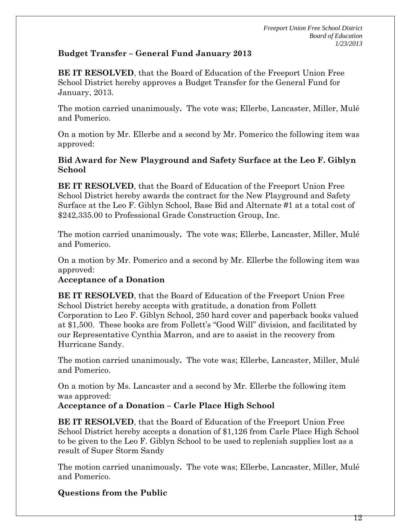### **Budget Transfer – General Fund January 2013**

**BE IT RESOLVED**, that the Board of Education of the Freeport Union Free School District hereby approves a Budget Transfer for the General Fund for January, 2013.

The motion carried unanimously**.** The vote was; Ellerbe, Lancaster, Miller, Mulé and Pomerico.

On a motion by Mr. Ellerbe and a second by Mr. Pomerico the following item was approved:

### **Bid Award for New Playground and Safety Surface at the Leo F. Giblyn School**

**BE IT RESOLVED**, that the Board of Education of the Freeport Union Free School District hereby awards the contract for the New Playground and Safety Surface at the Leo F. Giblyn School, Base Bid and Alternate #1 at a total cost of \$242,335.00 to Professional Grade Construction Group, Inc.

The motion carried unanimously**.** The vote was; Ellerbe, Lancaster, Miller, Mulé and Pomerico.

On a motion by Mr. Pomerico and a second by Mr. Ellerbe the following item was approved:

### **Acceptance of a Donation**

**BE IT RESOLVED**, that the Board of Education of the Freeport Union Free School District hereby accepts with gratitude, a donation from Follett Corporation to Leo F. Giblyn School, 250 hard cover and paperback books valued at \$1,500. These books are from Follett's "Good Will" division, and facilitated by our Representative Cynthia Marron, and are to assist in the recovery from Hurricane Sandy.

The motion carried unanimously**.** The vote was; Ellerbe, Lancaster, Miller, Mulé and Pomerico.

On a motion by Ms. Lancaster and a second by Mr. Ellerbe the following item was approved:

### **Acceptance of a Donation – Carle Place High School**

**BE IT RESOLVED**, that the Board of Education of the Freeport Union Free School District hereby accepts a donation of \$1,126 from Carle Place High School to be given to the Leo F. Giblyn School to be used to replenish supplies lost as a result of Super Storm Sandy

The motion carried unanimously**.** The vote was; Ellerbe, Lancaster, Miller, Mulé and Pomerico.

## **Questions from the Public**